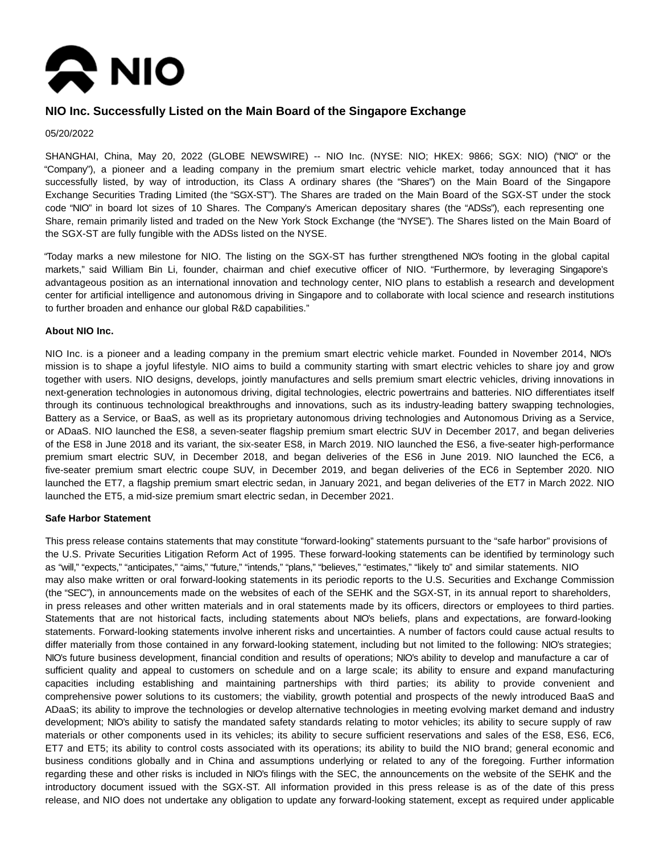

# **NIO Inc. Successfully Listed on the Main Board of the Singapore Exchange**

#### 05/20/2022

SHANGHAI, China, May 20, 2022 (GLOBE NEWSWIRE) -- NIO Inc. (NYSE: NIO; HKEX: 9866; SGX: NIO) ("NIO" or the "Company"), a pioneer and a leading company in the premium smart electric vehicle market, today announced that it has successfully listed, by way of introduction, its Class A ordinary shares (the "Shares") on the Main Board of the Singapore Exchange Securities Trading Limited (the "SGX-ST"). The Shares are traded on the Main Board of the SGX-ST under the stock code "NIO" in board lot sizes of 10 Shares. The Company's American depositary shares (the "ADSs"), each representing one Share, remain primarily listed and traded on the New York Stock Exchange (the "NYSE"). The Shares listed on the Main Board of the SGX-ST are fully fungible with the ADSs listed on the NYSE.

"Today marks a new milestone for NIO. The listing on the SGX-ST has further strengthened NIO's footing in the global capital markets," said William Bin Li, founder, chairman and chief executive officer of NIO. "Furthermore, by leveraging Singapore's advantageous position as an international innovation and technology center, NIO plans to establish a research and development center for artificial intelligence and autonomous driving in Singapore and to collaborate with local science and research institutions to further broaden and enhance our global R&D capabilities."

#### **About NIO Inc.**

NIO Inc. is a pioneer and a leading company in the premium smart electric vehicle market. Founded in November 2014, NIO's mission is to shape a joyful lifestyle. NIO aims to build a community starting with smart electric vehicles to share joy and grow together with users. NIO designs, develops, jointly manufactures and sells premium smart electric vehicles, driving innovations in next-generation technologies in autonomous driving, digital technologies, electric powertrains and batteries. NIO differentiates itself through its continuous technological breakthroughs and innovations, such as its industry-leading battery swapping technologies, Battery as a Service, or BaaS, as well as its proprietary autonomous driving technologies and Autonomous Driving as a Service, or ADaaS. NIO launched the ES8, a seven-seater flagship premium smart electric SUV in December 2017, and began deliveries of the ES8 in June 2018 and its variant, the six-seater ES8, in March 2019. NIO launched the ES6, a five-seater high-performance premium smart electric SUV, in December 2018, and began deliveries of the ES6 in June 2019. NIO launched the EC6, a five-seater premium smart electric coupe SUV, in December 2019, and began deliveries of the EC6 in September 2020. NIO launched the ET7, a flagship premium smart electric sedan, in January 2021, and began deliveries of the ET7 in March 2022. NIO launched the ET5, a mid-size premium smart electric sedan, in December 2021.

#### **Safe Harbor Statement**

This press release contains statements that may constitute "forward-looking" statements pursuant to the "safe harbor" provisions of the U.S. Private Securities Litigation Reform Act of 1995. These forward-looking statements can be identified by terminology such as "will," "expects," "anticipates," "aims," "future," "intends," "plans," "believes," "estimates," "likely to" and similar statements. NIO may also make written or oral forward-looking statements in its periodic reports to the U.S. Securities and Exchange Commission (the "SEC"), in announcements made on the websites of each of the SEHK and the SGX-ST, in its annual report to shareholders, in press releases and other written materials and in oral statements made by its officers, directors or employees to third parties. Statements that are not historical facts, including statements about NIO's beliefs, plans and expectations, are forward-looking statements. Forward-looking statements involve inherent risks and uncertainties. A number of factors could cause actual results to differ materially from those contained in any forward-looking statement, including but not limited to the following: NIO's strategies; NIO's future business development, financial condition and results of operations; NIO's ability to develop and manufacture a car of sufficient quality and appeal to customers on schedule and on a large scale; its ability to ensure and expand manufacturing capacities including establishing and maintaining partnerships with third parties; its ability to provide convenient and comprehensive power solutions to its customers; the viability, growth potential and prospects of the newly introduced BaaS and ADaaS; its ability to improve the technologies or develop alternative technologies in meeting evolving market demand and industry development; NIO's ability to satisfy the mandated safety standards relating to motor vehicles; its ability to secure supply of raw materials or other components used in its vehicles; its ability to secure sufficient reservations and sales of the ES8, ES6, EC6, ET7 and ET5; its ability to control costs associated with its operations; its ability to build the NIO brand; general economic and business conditions globally and in China and assumptions underlying or related to any of the foregoing. Further information regarding these and other risks is included in NIO's filings with the SEC, the announcements on the website of the SEHK and the introductory document issued with the SGX-ST. All information provided in this press release is as of the date of this press release, and NIO does not undertake any obligation to update any forward-looking statement, except as required under applicable